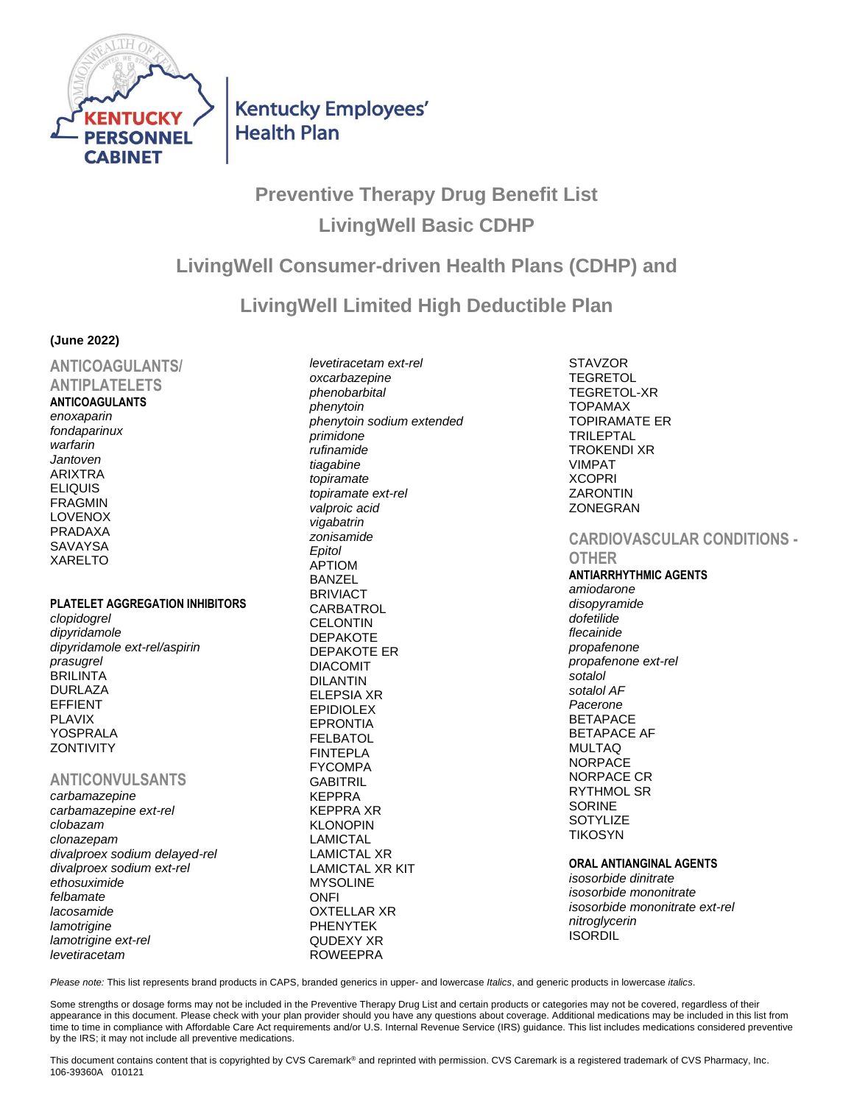

**Kentucky Employees' Health Plan** 

# **Preventive Therapy Drug Benefit List LivingWell Basic CDHP**

## **LivingWell Consumer-driven Health Plans (CDHP) and**

**LivingWell Limited High Deductible Plan**

#### **(June 2022)**

**ANTICOAGULANTS/ ANTIPLATELETS ANTICOAGULANTS** *enoxaparin fondaparinux warfarin Jantoven* ARIXTRA ELIQUIS FRAGMIN LOVENOX PRADAXA **SAVAYSA** XARELTO

#### **PLATELET AGGREGATION INHIBITORS**

*clopidogrel dipyridamole dipyridamole ext-rel/aspirin prasugrel* BRILINTA DURLAZA EFFIENT PLAVIX YOSPRALA **ZONTIVITY** 

## **ANTICONVULSANTS**

*carbamazepine carbamazepine ext-rel clobazam clonazepam divalproex sodium delayed-rel divalproex sodium ext-rel ethosuximide felbamate lacosamide lamotrigine lamotrigine ext-rel levetiracetam*

*levetiracetam ext-rel oxcarbazepine phenobarbital phenytoin phenytoin sodium extended primidone rufinamide tiagabine topiramate topiramate ext-rel valproic acid vigabatrin zonisamide Epitol* APTIOM BANZEL BRIVIACT **CARBATROL CELONTIN** DEPAKOTE DEPAKOTE ER DIACOMIT DILANTIN ELEPSIA XR EPIDIOLEX EPRONTIA FELBATOL FINTEPLA FYCOMPA **GABITRIL** KEPPRA KEPPRA XR KLONOPIN LAMICTAL LAMICTAL XR LAMICTAL XR KIT MYSOLINE **ONFI** OXTELLAR XR PHENYTEK QUDEXY XR ROWEEPRA

**STAVZOR** TEGRETOL TEGRETOL-XR TOPAMAX TOPIRAMATE ER TRILEPTAL TROKENDI XR VIMPAT **XCOPRI ZARONTIN ZONEGRAN** 

## **CARDIOVASCULAR CONDITIONS -**

**OTHER ANTIARRHYTHMIC AGENTS** *amiodarone disopyramide dofetilide flecainide propafenone propafenone ext-rel sotalol sotalol AF Pacerone* **BETAPACE** BETAPACE AF MULTAQ NORPACE NORPACE CR RYTHMOL SR SORINE **SOTYLIZE TIKOSYN** 

#### **ORAL ANTIANGINAL AGENTS**

*isosorbide dinitrate isosorbide mononitrate isosorbide mononitrate ext-rel nitroglycerin* **ISORDIL** 

*Please note:* This list represents brand products in CAPS, branded generics in upper- and lowercase *Italics*, and generic products in lowercase *italics*.

Some strengths or dosage forms may not be included in the Preventive Therapy Drug List and certain products or categories may not be covered, regardless of their appearance in this document. Please check with your plan provider should you have any questions about coverage. Additional medications may be included in this list from time to time in compliance with Affordable Care Act requirements and/or U.S. Internal Revenue Service (IRS) guidance. This list includes medications considered preventive by the IRS; it may not include all preventive medications.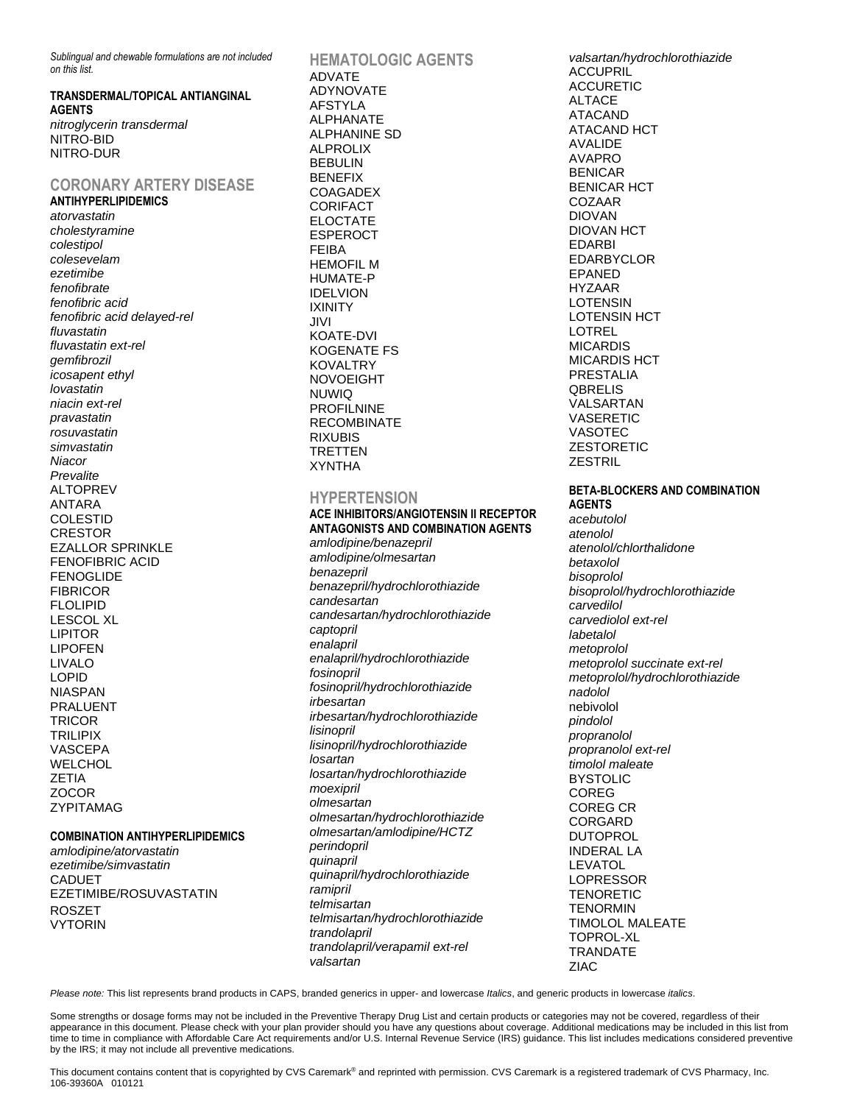*Sublingual and chewable formulations are not included on this list.*

**TRANSDERMAL/TOPICAL ANTIANGINAL AGENTS** *nitroglycerin transdermal* NITRO-BID NITRO-DUR

#### **CORONARY ARTERY DISEASE ANTIHYPERLIPIDEMICS**

*atorvastatin cholestyramine colestipol colesevelam ezetimibe fenofibrate fenofibric acid fenofibric acid delayed-rel fluvastatin fluvastatin ext-rel gemfibrozil icosapent ethyl lovastatin niacin ext-rel pravastatin rosuvastatin simvastatin Niacor Prevalite* ALTOPREV ANTARA COLESTID CRESTOR EZALLOR SPRINKLE FENOFIBRIC ACID FENOGLIDE FIBRICOR FLOLIPID LESCOL XL LIPITOR LIPOFEN LIVALO LOPID NIASPAN PRALUENT **TRICOR** TRILIPIX VASCEPA WELCHOL ZETIA ZOCOR ZYPITAMAG

#### **COMBINATION ANTIHYPERLIPIDEMICS**

*amlodipine/atorvastatin ezetimibe/simvastatin* CADUET EZETIMIBE/ROSUVASTATIN ROSZET VYTORIN

**HEMATOLOGIC AGENTS** ADVATE ADYNOVATE AFSTYLA ALPHANATE ALPHANINE SD ALPROLIX BEBULIN BENEFIX **COAGADEX CORIFACT** ELOCTATE ESPEROCT FEIBA HEMOFIL M HUMATE-P IDELVION IXINITY JIVI KOATE-DVI KOGENATE FS KOVALTRY NOVOEIGHT NUWIQ PROFILNINE RECOMBINATE RIXUBIS TRETTEN XYNTHA

#### **HYPERTENSION**

**ACE INHIBITORS/ANGIOTENSIN II RECEPTOR ANTAGONISTS AND COMBINATION AGENTS** *amlodipine/benazepril amlodipine/olmesartan benazepril benazepril/hydrochlorothiazide candesartan candesartan/hydrochlorothiazide captopril enalapril enalapril/hydrochlorothiazide fosinopril fosinopril/hydrochlorothiazide irbesartan irbesartan/hydrochlorothiazide lisinopril lisinopril/hydrochlorothiazide losartan losartan/hydrochlorothiazide moexipril olmesartan olmesartan/hydrochlorothiazide olmesartan/amlodipine/HCTZ perindopril quinapril quinapril/hydrochlorothiazide ramipril telmisartan telmisartan/hydrochlorothiazide trandolapril trandolapril/verapamil ext-rel valsartan*

*valsartan/hydrochlorothiazide* **ACCUPRIL** ACCURETIC ALTACE ATACAND ATACAND HCT AVALIDE AVAPRO BENICAR BENICAR HCT COZAAR DIOVAN DIOVAN HCT EDARBI EDARBYCLOR EPANED HYZAAR **LOTENSIN** LOTENSIN HCT LOTREL MICARDIS MICARDIS HCT PRESTALIA **QBRELIS** VALSARTAN VASERETIC VASOTEC ZESTORETIC **ZESTRIL** 

#### **BETA-BLOCKERS AND COMBINATION AGENTS**

*acebutolol atenolol atenolol/chlorthalidone betaxolol bisoprolol bisoprolol/hydrochlorothiazide carvedilol carvediolol ext-rel labetalol metoprolol metoprolol succinate ext-rel metoprolol/hydrochlorothiazide nadolol* nebivolol *pindolol propranolol propranolol ext-rel timolol maleate* BYSTOLIC COREG COREG CR CORGARD DUTOPROL INDERAL LA LEVATOL LOPRESSOR TENORETIC **TENORMIN** TIMOLOL MALEATE TOPROL-XL TRANDATE ZIAC

*Please note:* This list represents brand products in CAPS, branded generics in upper- and lowercase *Italics*, and generic products in lowercase *italics*.

Some strengths or dosage forms may not be included in the Preventive Therapy Drug List and certain products or categories may not be covered, regardless of their appearance in this document. Please check with your plan provider should you have any questions about coverage. Additional medications may be included in this list from time to time in compliance with Affordable Care Act requirements and/or U.S. Internal Revenue Service (IRS) guidance. This list includes medications considered preventive by the IRS; it may not include all preventive medications.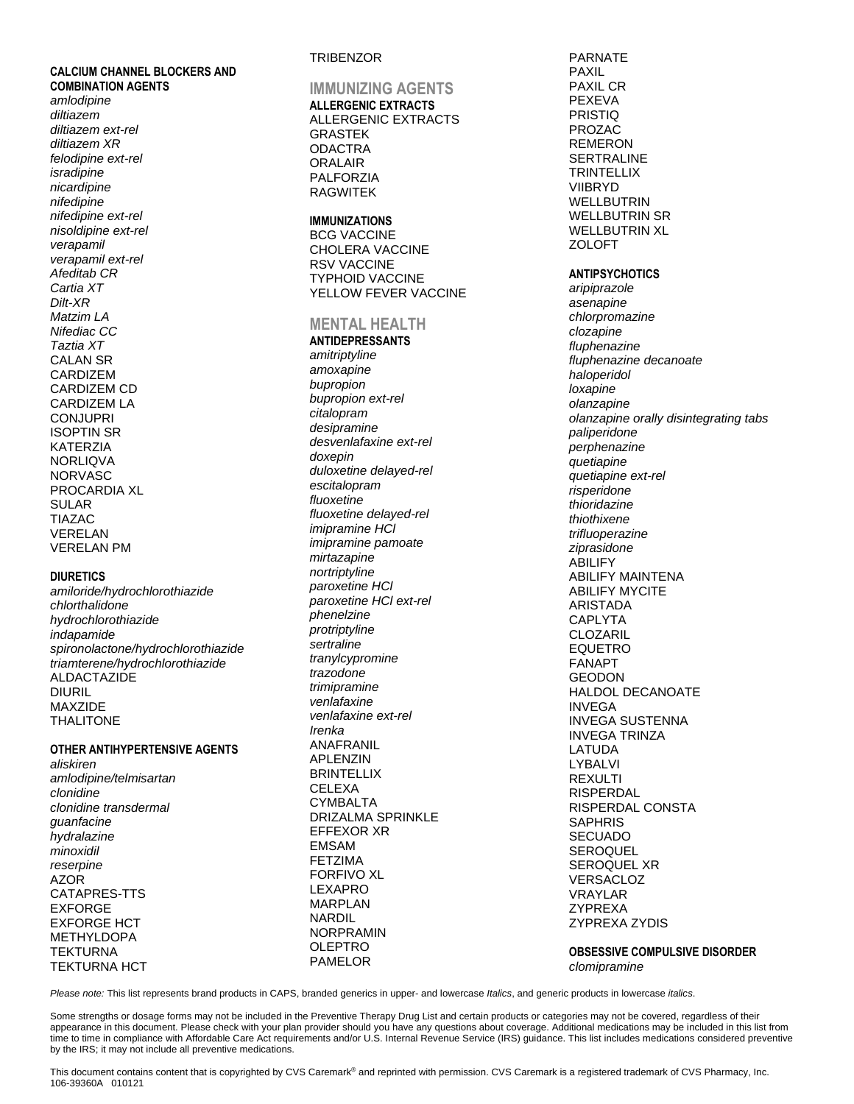**CALCIUM CHANNEL BLOCKERS AND COMBINATION AGENTS** amlodipine diltiazem diltiazem ext-rel diltiazem XR felodipine ext-rel isradipine nicardipine nifedipine nifedipine ext-rel nisoldipine ext-rel verapamil verapamil ext-rel Afeditab CR Cartia XT Dilt-XR Matzim LA Nifediac CC Taztia XT **CALAN SR** CARDIZEM CARDIZEM CD **CARDIZEM LA CONJUPRI ISOPTIN SR KATERZIA NORLIQVA NORVASC** PROCARDIA XL **SULAR TIAZAC** VERELAN **VERELAN PM** 

#### **DIURETICS**

amiloride/hydrochlorothiazide chlorthalidone hydrochlorothiazide indapamide spironolactone/hydrochlorothiazide triamterene/hydrochlorothiazide **ALDACTAZIDE DIURIL** MAXZIDE **THALITONE** 

#### OTHER ANTIHYPERTENSIVE AGENTS

aliskiren amlodipine/telmisartan clonidine clonidine transdermal guanfacine hydralazine minoxidil reserpine **AZOR** CATAPRES-TTS **EXFORGE EXFORGE HCT METHYLDOPA TEKTURNA TEKTURNA HCT** 

### **TRIBENZOR**

**IMMUNIZING AGENTS ALLERGENIC EXTRACTS ALLERGENIC EXTRACTS GRASTEK ODACTRA ORALAIR PALFORZIA RAGWITEK** 

#### **IMMUNIZATIONS**

**BCG VACCINE CHOLERA VACCINE RSV VACCINE TYPHOID VACCINE** YELLOW FEVER VACCINE

#### **MENTAL HEALTH**

**ANTIDEPRESSANTS** amitriptyline amoxapine bupropion bupropion ext-rel citalopram desipramine desvenlafaxine ext-rel doxepin duloxetine delayed-rel escitalopram fluoxetine fluoxetine delayed-rel imipramine HCI imipramine pamoate mirtazapine nortriptyline paroxetine HCI paroxetine HCI ext-rel phenelzine protriptyline sertraline tranylcypromine trazodone trimipramine venlafaxine venlafaxine ext-rel Irenka **ANAFRANIL APLENZIN BRINTELLIX CELEXA CYMBALTA DRIZALMA SPRINKLE EFFEXOR XR EMSAM FETZIMA FORFIVO XL LEXAPRO MARPLAN NARDIL NORPRAMIN OLEPTRO PAMELOR** 

**PARNATE PAXIL** PAXIL CR **PEXEVA PRISTIQ PROZAC REMERON SERTRALINE TRINTELLIX VIIBRYD WELLBUTRIN WELLBUTRIN SR WELLBUTRIN XL ZOLOFT ANTIPSYCHOTICS** 

aripiprazole asenapine chlorpromazine clozapine fluphenazine fluphenazine decanoate haloperidol loxapine olanzapine olanzapine orally disintegrating tabs paliperidone perphenazine quetiapine quetiapine ext-rel risperidone thioridazine thiothixene trifluoperazine ziprasidone **ABILIFY ABILIFY MAINTENA ABILIFY MYCITE ARISTADA CAPLYTA CLOZARIL FOUFTRO FANAPT GEODON** HALDOL DECANOATE **INVEGA INVEGA SUSTENNA INVEGA TRINZA LATUDA LYBALVI REXULTI RISPERDAL** RISPERDAL CONSTA **SAPHRIS SECUADO SEROQUEL SEROQUEL XR VERSACLOZ VRAYLAR ZYPREXA ZYPREXA ZYDIS** 

**OBSESSIVE COMPULSIVE DISORDER** clomipramine

Please note: This list represents brand products in CAPS, branded generics in upper- and lowercase Italics, and generic products in lowercase italics.

Some strengths or dosage forms may not be included in the Preventive Therapy Drug List and certain products or categories may not be covered, regardless of their appearance in this document. Please check with your plan provider should you have any questions about coverage. Additional medications may be included in this list from time to time in compliance with Affordable Care Act requirements and/or U.S. Internal Revenue Service (IRS) guidance. This list includes medications considered preventive by the IRS; it may not include all preventive medications.